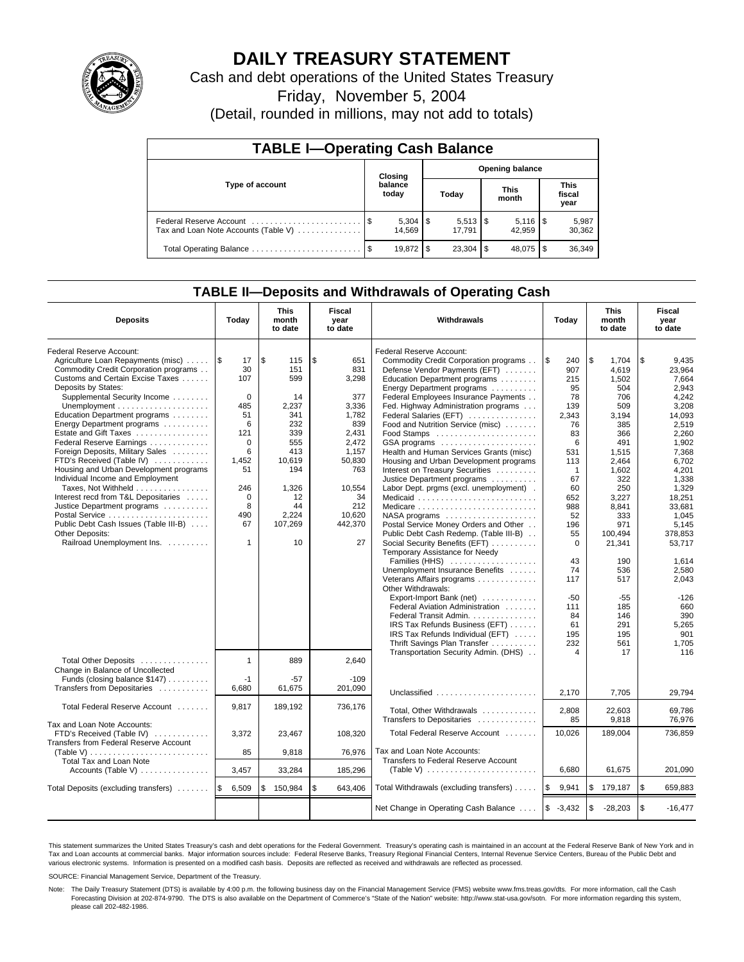

# **DAILY TREASURY STATEMENT**

Cash and debt operations of the United States Treasury

Friday, November 5, 2004

(Detail, rounded in millions, may not add to totals)

| <b>TABLE I-Operating Cash Balance</b>                           |         |                  |       |                                 |                      |        |                               |                 |  |  |  |
|-----------------------------------------------------------------|---------|------------------|-------|---------------------------------|----------------------|--------|-------------------------------|-----------------|--|--|--|
|                                                                 | Closing |                  |       | <b>Opening balance</b>          |                      |        |                               |                 |  |  |  |
| Type of account                                                 |         | balance<br>today | Today |                                 | <b>This</b><br>month |        | <b>This</b><br>fiscal<br>year |                 |  |  |  |
| Federal Reserve Account<br>Tax and Loan Note Accounts (Table V) |         | 14.569           |       | $5,513$ $\frac{1}{3}$<br>17.791 |                      | 42.959 |                               | 5,987<br>30,362 |  |  |  |
| Total Operating Balance                                         | - \$    | 19.872           |       |                                 |                      | 48.075 |                               | 36,349          |  |  |  |

## **TABLE II—Deposits and Withdrawals of Operating Cash**

| <b>Deposits</b>                                                                                                                                                                                                                                                                                                                                                                                                                                                                                                             | Today                                                                                          | <b>This</b><br>month<br>to date                                                            | Fiscal<br>year<br>to date                                                                             | <b>Withdrawals</b>                                                                                                                                                                                                                                                                                                                                                                                                                                                                                                                                        | Today                                                                                                                | <b>This</b><br>month<br>to date                                                                                                 | Fiscal<br>year<br>to date                                                                                                                           |
|-----------------------------------------------------------------------------------------------------------------------------------------------------------------------------------------------------------------------------------------------------------------------------------------------------------------------------------------------------------------------------------------------------------------------------------------------------------------------------------------------------------------------------|------------------------------------------------------------------------------------------------|--------------------------------------------------------------------------------------------|-------------------------------------------------------------------------------------------------------|-----------------------------------------------------------------------------------------------------------------------------------------------------------------------------------------------------------------------------------------------------------------------------------------------------------------------------------------------------------------------------------------------------------------------------------------------------------------------------------------------------------------------------------------------------------|----------------------------------------------------------------------------------------------------------------------|---------------------------------------------------------------------------------------------------------------------------------|-----------------------------------------------------------------------------------------------------------------------------------------------------|
| Federal Reserve Account:<br>Agriculture Loan Repayments (misc)<br>Commodity Credit Corporation programs<br>Customs and Certain Excise Taxes<br>Deposits by States:<br>Supplemental Security Income<br>Unemployment $\dots\dots\dots\dots\dots\dots\dots$<br>Education Department programs<br>Energy Department programs<br>Estate and Gift Taxes<br>Federal Reserve Earnings<br>Foreign Deposits, Military Sales<br>FTD's Received (Table IV)<br>Housing and Urban Development programs<br>Individual Income and Employment | 1\$<br>17<br>30<br>107<br>$\mathbf 0$<br>485<br>51<br>6<br>121<br>$\Omega$<br>6<br>1,452<br>51 | \$<br>115<br>151<br>599<br>14<br>2,237<br>341<br>232<br>339<br>555<br>413<br>10,619<br>194 | \$<br>651<br>831<br>3,298<br>377<br>3,336<br>1,782<br>839<br>2.431<br>2.472<br>1,157<br>50,830<br>763 | Federal Reserve Account:<br>Commodity Credit Corporation programs<br>Defense Vendor Payments (EFT)<br>Education Department programs<br>Energy Department programs<br>Federal Employees Insurance Payments<br>Fed. Highway Administration programs<br>Federal Salaries (EFT)<br>Food and Nutrition Service (misc)<br>GSA programs<br>Health and Human Services Grants (misc)<br>Housing and Urban Development programs<br>Interest on Treasury Securities<br>Justice Department programs                                                                   | <b>S</b><br>240<br>907<br>215<br>95<br>78<br>139<br>2,343<br>76<br>83<br>6<br>531<br>113<br>$\mathbf{1}$<br>67       | \$<br>1,704<br>4.619<br>1,502<br>504<br>706<br>509<br>3,194<br>385<br>366<br>491<br>1,515<br>2.464<br>1,602<br>322              | \$<br>9,435<br>23.964<br>7.664<br>2.943<br>4,242<br>3,208<br>14,093<br>2,519<br>2.260<br>1,902<br>7,368<br>6.702<br>4,201<br>1,338                  |
| Taxes, Not Withheld<br>Interest recd from T&L Depositaries<br>Justice Department programs<br>Public Debt Cash Issues (Table III-B)<br><b>Other Deposits:</b><br>Railroad Unemployment Ins.                                                                                                                                                                                                                                                                                                                                  | 246<br>$\mathbf 0$<br>8<br>490<br>67<br>$\mathbf{1}$                                           | 1,326<br>12<br>44<br>2,224<br>107,269<br>10                                                | 10,554<br>34<br>212<br>10,620<br>442,370<br>27                                                        | Labor Dept. prgms (excl. unemployment).<br>Medicare<br>Postal Service Money Orders and Other<br>Public Debt Cash Redemp. (Table III-B)<br>Social Security Benefits (EFT)<br>Temporary Assistance for Needy<br>Families (HHS)<br>Unemployment Insurance Benefits<br>Veterans Affairs programs<br>Other Withdrawals:<br>Export-Import Bank (net)<br>Federal Aviation Administration<br>Federal Transit Admin.<br>IRS Tax Refunds Business (EFT)<br>IRS Tax Refunds Individual (EFT)<br>Thrift Savings Plan Transfer<br>Transportation Security Admin. (DHS) | 60<br>652<br>988<br>52<br>196<br>55<br>$\mathbf 0$<br>43<br>74<br>117<br>$-50$<br>111<br>84<br>61<br>195<br>232<br>4 | 250<br>3,227<br>8.841<br>333<br>971<br>100.494<br>21,341<br>190<br>536<br>517<br>$-55$<br>185<br>146<br>291<br>195<br>561<br>17 | 1,329<br>18.251<br>33.681<br>1,045<br>5.145<br>378,853<br>53,717<br>1.614<br>2,580<br>2,043<br>$-126$<br>660<br>390<br>5,265<br>901<br>1.705<br>116 |
| Total Other Deposits<br>Change in Balance of Uncollected<br>Funds (closing balance \$147)<br>Transfers from Depositaries                                                                                                                                                                                                                                                                                                                                                                                                    | $\mathbf{1}$<br>$-1$<br>6.680                                                                  | 889<br>$-57$<br>61.675                                                                     | 2.640<br>$-109$<br>201.090                                                                            | Unclassified                                                                                                                                                                                                                                                                                                                                                                                                                                                                                                                                              | 2,170                                                                                                                | 7,705                                                                                                                           | 29,794                                                                                                                                              |
| Total Federal Reserve Account                                                                                                                                                                                                                                                                                                                                                                                                                                                                                               | 9,817                                                                                          | 189,192                                                                                    | 736,176                                                                                               | Total, Other Withdrawals<br>Transfers to Depositaries                                                                                                                                                                                                                                                                                                                                                                                                                                                                                                     | 2,808<br>85                                                                                                          | 22,603<br>9.818                                                                                                                 | 69,786<br>76.976                                                                                                                                    |
| Tax and Loan Note Accounts:<br>FTD's Received (Table IV)<br>Transfers from Federal Reserve Account<br>(Table V)<br><b>Total Tax and Loan Note</b><br>Accounts (Table V) $\dots \dots \dots \dots$                                                                                                                                                                                                                                                                                                                           | 3,372<br>85<br>3,457                                                                           | 23,467<br>9,818<br>33,284                                                                  | 108,320<br>76,976<br>185,296                                                                          | Total Federal Reserve Account<br>Tax and Loan Note Accounts:<br>Transfers to Federal Reserve Account<br>(Table V) $\ldots \ldots \ldots \ldots \ldots \ldots \ldots$                                                                                                                                                                                                                                                                                                                                                                                      | 10,026<br>6.680                                                                                                      | 189,004<br>61,675                                                                                                               | 736.859<br>201,090                                                                                                                                  |
| Total Deposits (excluding transfers)                                                                                                                                                                                                                                                                                                                                                                                                                                                                                        | ۱\$<br>6,509                                                                                   | \$<br>150,984                                                                              | \$<br>643,406                                                                                         | Total Withdrawals (excluding transfers)                                                                                                                                                                                                                                                                                                                                                                                                                                                                                                                   | l \$<br>9,941                                                                                                        | \$<br>179,187                                                                                                                   | \$<br>659,883                                                                                                                                       |
|                                                                                                                                                                                                                                                                                                                                                                                                                                                                                                                             |                                                                                                |                                                                                            |                                                                                                       | Net Change in Operating Cash Balance                                                                                                                                                                                                                                                                                                                                                                                                                                                                                                                      | $$ -3,432$                                                                                                           | \$<br>$-28,203$                                                                                                                 | \$<br>$-16,477$                                                                                                                                     |

This statement summarizes the United States Treasury's cash and debt operations for the Federal Government. Treasury's operating cash is maintained in an account at the Federal Reserve Bank of New York and in Tax and Loan accounts at commercial banks. Major information sources include: Federal Reserve Banks, Treasury Regional Financial Centers, Internal Revenue Service Centers, Bureau of the Public Debt and<br>various electronic s

SOURCE: Financial Management Service, Department of the Treasury.

Note: The Daily Treasury Statement (DTS) is available by 4:00 p.m. the following business day on the Financial Management Service (FMS) website www.fms.treas.gov/dts. For more information, call the Cash Forecasting Division at 202-874-9790. The DTS is also available on the Department of Commerce's "State of the Nation" website: http://www.stat-usa.gov/sotn. For more information regarding this system, please call 202-482-1986.